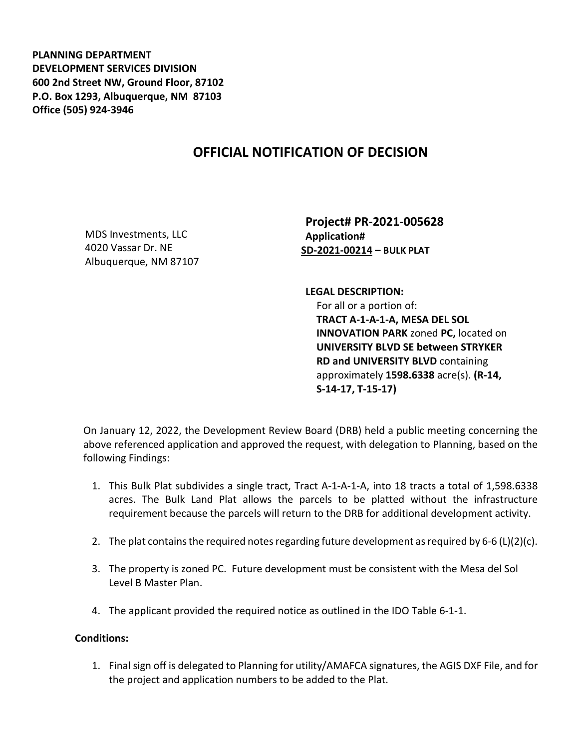**PLANNING DEPARTMENT DEVELOPMENT SERVICES DIVISION 600 2nd Street NW, Ground Floor, 87102 P.O. Box 1293, Albuquerque, NM 87103 Office (505) 924-3946** 

## **OFFICIAL NOTIFICATION OF DECISION**

MDS Investments, LLC 4020 Vassar Dr. NE Albuquerque, NM 87107

**Project# PR-2021-005628 Application# SD-2021-00214 – BULK PLAT**

**LEGAL DESCRIPTION:** For all or a portion of: **TRACT A-1-A-1-A, MESA DEL SOL INNOVATION PARK** zoned **PC,** located on **UNIVERSITY BLVD SE between STRYKER** 

**RD and UNIVERSITY BLVD** containing approximately **1598.6338** acre(s). **(R-14, S-14-17, T-15-17)**

On January 12, 2022, the Development Review Board (DRB) held a public meeting concerning the above referenced application and approved the request, with delegation to Planning, based on the following Findings:

- 1. This Bulk Plat subdivides a single tract, Tract A-1-A-1-A, into 18 tracts a total of 1,598.6338 acres. The Bulk Land Plat allows the parcels to be platted without the infrastructure requirement because the parcels will return to the DRB for additional development activity.
- 2. The plat contains the required notes regarding future development as required by 6-6 (L)(2)(c).
- 3. The property is zoned PC. Future development must be consistent with the Mesa del Sol Level B Master Plan.
- 4. The applicant provided the required notice as outlined in the IDO Table 6-1-1.

## **Conditions:**

1. Final sign off is delegated to Planning for utility/AMAFCA signatures, the AGIS DXF File, and for the project and application numbers to be added to the Plat.